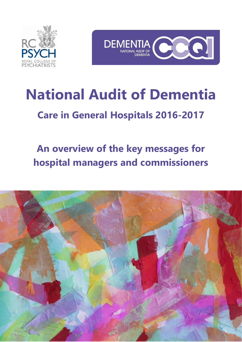



# **National Audit of Dementia**

# **Care in General Hospitals 2016-2017**

# **An overview of the key messages for hospital managers and commissioners**

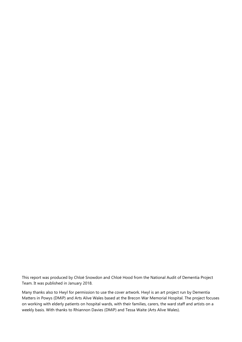This report was produced by Chloë Snowdon and Chloë Hood from the National Audit of Dementia Project Team. It was published in January 2018.

Many thanks also to Hwyl for permission to use the cover artwork. Hwyl is an art project run by Dementia Matters in Powys (DMiP) and Arts Alive Wales based at the Brecon War Memorial Hospital. The project focuses on working with elderly patients on hospital wards, with their families, carers, the ward staff and artists on a weekly basis. With thanks to Rhiannon Davies (DMiP) and Tessa Waite (Arts Alive Wales).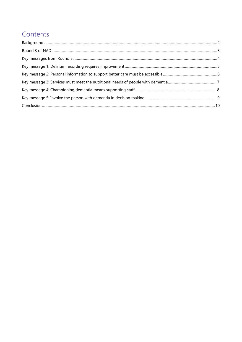# Contents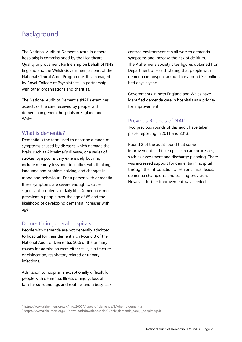## <span id="page-3-0"></span>Background

The National Audit of Dementia (care in general hospitals) is commissioned by the Healthcare Quality Improvement Partnership on behalf of NHS England and the Welsh Government, as part of the National Clinical Audit Programme. It is managed by Royal College of Psychiatrists, in partnership with other organisations and charities.

The National Audit of Dementia (NAD) examines aspects of the care received by people with dementia in general hospitals in England and Wales.

#### What is dementia?

Dementia is the term used to describe a range of symptoms caused by diseases which damage the brain, such as Alzheimer's disease, or a series of strokes. Symptoms vary extensively but may include memory loss and difficulties with thinking, language and problem solving, and changes in mood and behaviour<sup>1</sup>. For a person with dementia, these symptoms are severe enough to cause significant problems in daily life. Dementia is most prevalent in people over the age of 65 and the likelihood of developing dementia increases with age.

#### Dementia in general hospitals

People with dementia are not generally admitted to hospital for their dementia. In Round 3 of the National Audit of Dementia, 50% of the primary causes for admission were either falls, hip fracture or dislocation, respiratory related or urinary infections.

Admission to hospital is exceptionally difficult for people with dementia. Illness or injury, loss of familiar surroundings and routine, and a busy task centred environment can all worsen dementia symptoms and increase the risk of delirium. The Alzheimer's Society cites figures obtained from Department of Health stating that people with dementia in hospital account for around 3.2 million bed days a year<sup>2</sup>.

Governments in both England and Wales have identified dementia care in hospitals as a priority for improvement.

#### Previous Rounds of NAD

Two previous rounds of this audit have taken place, reporting in 2011 and 2013.

Round 2 of the audit found that some improvement had taken place in care processes, such as assessment and discharge planning. There was increased support for dementia in hospital through the introduction of senior clinical leads, dementia champions, and training provision. However, further improvement was needed.

<sup>1</sup> https://www.alzheimers.org.uk/info/20007/types\_of\_dementia/1/what\_is\_dementia

<sup>2</sup> https://www.alzheimers.org.uk/download/downloads/id/2907/fix\_dementia\_care\_-\_hospitals.pdf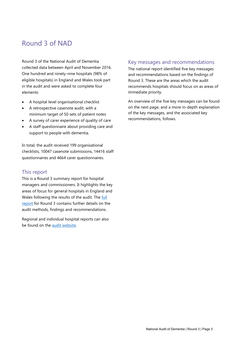# <span id="page-4-0"></span>Round 3 of NAD

Round 3 of the National Audit of Dementia collected data between April and November 2016. One hundred and ninety-nine hospitals (98% of eligible hospitals) in England and Wales took part in the audit and were asked to complete four elements:

- A hospital level organisational checklist
- A retrospective casenote audit, with a minimum target of 50 sets of patient notes
- A survey of carer experience of quality of care
- A staff questionnaire about providing care and support to people with dementia.

In total, the audit received 199 organisational checklists, 10047 casenote submissions, 14416 staff questionnaires and 4664 carer questionnaires.

#### This report

This is a Round 3 summary report for hospital managers and commissioners. It highlights the key areas of focus for general hospitals in England and Wales following the results of the audit. The [full](http://www.rcpsych.ac.uk/pdf/National_Audit_of_Dementia_online_version_FINAL.pdf)  [report](http://www.rcpsych.ac.uk/pdf/National_Audit_of_Dementia_online_version_FINAL.pdf) for Round 3 contains further details on the audit methods, findings and recommendations.

Regional and individual hospital reports can also be found on the [audit website.](http://www.rcpsych.ac.uk/workinpsychiatry/qualityimprovement/nationalclinicalaudits/dementia/nationalauditofdementia/thirdroundofaudit/finalreportrecommendations.aspx)

#### Key messages and recommendations

The national report identified five key messages and recommendations based on the findings of Round 3. These are the areas which the audit recommends hospitals should focus on as areas of immediate priority.

An overview of the five key messages can be found on the next page, and a more in-depth explanation of the key messages, and the associated key recommendations, follows.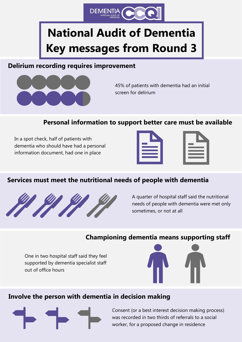

# <span id="page-5-0"></span>**National Audit of Dementia Key messages from Round 3**

#### **Delirium recording requires improvement**



45% of patients with dementia had an initial screen for delirium

### **Personal information to support better care must be available**

In a spot check, half of patients with dementia who should have had a personal information document, had one in place

### **Services must meet the nutritional needs of people with dementia**



A quarter of hospital staff said the nutritional needs of people with dementia were met only sometimes, or not at all

#### **Championing dementia means supporting staff**

One in two hospital staff said they feel supported by dementia specialist staff out of office hours



### **Involve the person with dementia in decision making**



Consent (or a best interest decision making process) was recorded in two thirds of referrals to a social worker, for a proposed change in residence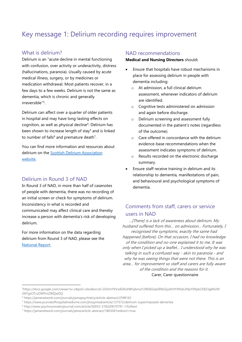# <span id="page-6-0"></span>Key message 1: Delirium recording requires improvement

#### What is delirium?

Delirium is an "acute decline in mental functioning with confusion, over activity or underactivity, distress (hallucinations, paranoia). Usually caused by acute medical illness, surgery, or by medicines or medication withdrawal. Most patients recover, in a few days to a few weeks. Delirium is not the same as dementia, which is chronic and generally irreversible"<sup>3</sup>.

Delirium can affect over a quarter of older patients in hospital and may have long-lasting effects on cognition, as well as physical decline<sup>4</sup>. Delirium has been shown to increase length of stay<sup>5</sup> and is linked to number of falls<sup>6</sup> and premature death<sup>7</sup>.

You can find more information and resources about delirium on the [Scottish Delirium Association](http://www.scottishdeliriumassociation.com/)  [website.](http://www.scottishdeliriumassociation.com/)

#### Delirium in Round 3 of NAD

In Round 3 of NAD, in more than half of casenotes of people with dementia, there was no recording of an initial screen or check for symptoms of delirium. Inconsistency in what is recorded and communicated may affect clinical care and thereby increase a person with dementia's risk of developing delirium.

For more information on the data regarding delirium from Round 3 of NAD, please see the [National Report.](http://www.rcpsych.ac.uk/workinpsychiatry/qualityimprovement/nationalclinicalaudits/dementia/nationalauditofdementia/thirdroundofaudit/finalreportrecommendations.aspx)

 $\overline{a}$ 

#### NAD recommendations

**Medical and Nursing Directors** should**:**

- Ensure that hospitals have robust mechanisms in place for assessing delirium in people with dementia including:
	- o At admission, a full clinical delirium assessment, whenever indicators of delirium are identified.
	- o Cognitive tests administered on admission and again before discharge.
	- o Delirium screening and assessment fully documented in the patient's notes (regardless of the outcome).
	- o Care offered in concordance with the delirium evidence-base recommendations when the assessment indicates symptoms of delirium.
	- o Results recorded on the electronic discharge summary.
- Ensure staff receive training in delirium and its relationship to dementia, manifestations of pain, and behavioural and psychological symptoms of dementia.

#### Comments from staff, carers or service users in NAD

…[There] is a lack of awareness about delirium. My husband suffered from this… on admission... Fortunately, I recognised the symptoms, exactly the same had happened [before]. On that occasion, I had no knowledge of the condition and no-one explained it to me. It was only when I picked up a leaflet… I understood why he was talking in such a confused way - akin to paranoia - and why he was seeing things that were not there. This is an area… for improvement so staff and carers are fully aware of the condition and the reasons for it. Carer, Carer questionnaire

<sup>3</sup>https://docs.google.com/viewer?a=v&pid=sites&srcid=ZGVmYXVsdGRvbWFpbnxzY290dGlzaGRlbGlyaXVtYXNzb2NpYXRpb258Z3g6N2M 2NTgxOTczOWFmZWQwOQ

<sup>4</sup> https://jamanetwork.com/journals/jamapsychiatry/article-abstract/2598162

<sup>5</sup> https://www.journalofhospitalmedicine.com/jhospmed/article/127572/delirium-superimposed-dementia

<sup>6</sup> http://www.psychosomaticsjournal.com/article/S0033-3182(09)70791-1/fulltext

<sup>7</sup> https://jamanetwork.com/journals/jama/article-abstract/186304?redirect=true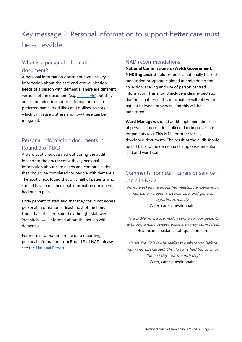# <span id="page-7-0"></span>Key message 2: Personal information to support better care must be accessible

#### What is a personal information document?

A personal information document contains key information about the care and communication needs of a person with dementia. There are different versions of the document (e.g. [This is Me\)](https://www.alzheimers.org.uk/info/20033/publications_and_factsheets/680/this_is_me) but they are all intended to capture information such as preferred name, food likes and dislikes, factors which can cause distress and how these can be mitigated.

#### Personal information documents in Round 3 of NAD

A ward spot check carried out during the audit looked for the document with key personal information about care needs and communication that should be completed for people with dementia. The spot check found that only half of patients who should have had a personal information document, had one in place.

Forty percent of staff said that they could not access personal information at least most of the time. Under half of carers said they thought staff were 'definitely' well informed about the person with dementia.

For more information on the data regarding personal information from Round 3 of NAD, please see the [National Report.](http://www.rcpsych.ac.uk/workinpsychiatry/qualityimprovement/nationalclinicalaudits/dementia/nationalauditofdementia/thirdroundofaudit/finalreportrecommendations.aspx)

#### NAD recommendations

#### **National Commissioners (Welsh Government, NHS England)** should propose a nationally backed

monitoring programme aimed at embedding the collection, sharing and use of person centred information. This should include a clear expectation that once gathered, this information will follow the patient between providers, and this will be monitored.

**Ward Managers** should audit implementation/use of personal information collected to improve care for patients (e.g. This is Me or other locally developed document). The result of the audit should be fed back to the dementia champions/dementia lead and ward staff.

#### Comments from staff, carers or service users in NAD

No-one asked me about her needs… her behaviour, her dietary needs, personal care, and general agitation/capacity. Carer, carer questionnaire

'This is Me' forms are vital in caring for our patients with dementia, however these are rarely completed. Healthcare assistant, staff questionnaire

Given the 'This is Me' leaflet the afternoon before mum was discharged. Should have had this form on the first day, not the fifth day! Carer, carer questionnaire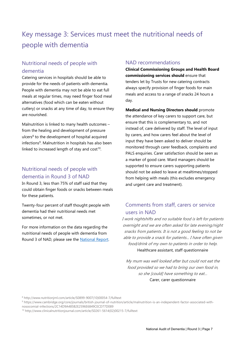# <span id="page-8-0"></span>Key message 3: Services must meet the nutritional needs of people with dementia

#### Nutritional needs of people with dementia

Catering services in hospitals should be able to provide for the needs of patients with dementia. People with dementia may not be able to eat full meals at regular times, may need finger food meal alternatives (food which can be eaten without cutlery) or snacks at any time of day, to ensure they are nourished.

Malnutrition is linked to many health outcomes – from the healing and development of pressure ulcers<sup>8</sup> to the development of hospital acquired infections 9 . Malnutrition in hospitals has also been linked to increased length of stay and  $cost^{10}$ .

#### Nutritional needs of people with dementia in Round 3 of NAD

In Round 3, less than 75% of staff said that they could obtain finger foods or snacks between meals for these patients.

Twenty-four percent of staff thought people with dementia had their nutritional needs met sometimes, or not met.

For more information on the data regarding the nutritional needs of people with dementia from Round 3 of NAD, please see the [National Report.](http://www.rcpsych.ac.uk/workinpsychiatry/qualityimprovement/nationalclinicalaudits/dementia/nationalauditofdementia/thirdroundofaudit/finalreportrecommendations.aspx)

#### NAD recommendations

**Clinical Commissioning Groups and Health Board commissioning services should** ensure that tenders let by Trusts for new catering contracts always specify provision of finger foods for main meals and access to a range of snacks 24 hours a day.

**Medical and Nursing Directors should** promote the attendance of key carers to support care, but ensure that this is complementary to, and not instead of, care delivered by staff. The level of input by carers, and how carers feel about the level of input they have been asked to deliver should be monitored through carer feedback, complaints and PALS enquiries. Carer satisfaction should be seen as a marker of good care. Ward managers should be supported to ensure carers supporting patients should not be asked to leave at mealtimes/stopped from helping with meals (this excludes emergency and urgent care and treatment).

#### Comments from staff, carers or service users in NAD

I work nightshifts and no suitable food is left for patients overnight and we are often asked for late evening/night snacks from patients. It is not a good feeling to not be able to provide a snack for patients... I have often given food/drink of my own to patients in order to help. Healthcare assistant, staff questionnaire

My mum was well looked after but could not eat the food provided so we had to bring our own food in, so she [could] have something to eat… Carer, carer questionnaire

<sup>9</sup> https://www.cambridge.org/core/journals/british-journal-of-nutrition/article/malnutrition-is-an-independent-factor-associated-withnosocomial-infections/2C14D9A485B2E2596E6849CECD77D089

<sup>8</sup> http://www.nutritionjrnl.com/article/S0899-9007(10)00054-7/fulltext

<sup>10</sup> http://www.clinicalnutritionjournal.com/article/S0261-5614(02)00215-7/fulltext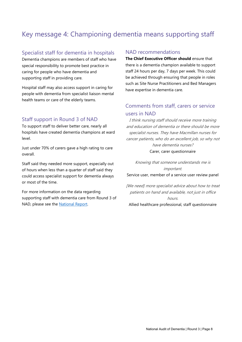# <span id="page-9-0"></span>Key message 4: Championing dementia means supporting staff

#### Specialist staff for dementia in hospitals

Dementia champions are members of staff who have special responsibility to promote best practice in caring for people who have dementia and supporting staff in providing care.

Hospital staff may also access support in caring for people with dementia from specialist liaison mental health teams or care of the elderly teams.

#### Staff support in Round 3 of NAD

To support staff to deliver better care, nearly all hospitals have created dementia champions at ward level.

Just under 70% of carers gave a high rating to care overall.

Staff said they needed more support, especially out of hours when less than a quarter of staff said they could access specialist support for dementia always or most of the time.

For more information on the data regarding supporting staff with dementia care from Round 3 of NAD, please see the [National Report.](http://www.rcpsych.ac.uk/workinpsychiatry/qualityimprovement/nationalclinicalaudits/dementia/nationalauditofdementia/thirdroundofaudit/finalreportrecommendations.aspx)

#### NAD recommendations

**The Chief Executive Officer should** ensure that there is a dementia champion available to support staff 24 hours per day, 7 days per week. This could be achieved through ensuring that people in roles such as Site Nurse Practitioners and Bed Managers have expertise in dementia care.

#### Comments from staff, carers or service users in NAD

I think nursing staff should receive more training and education of dementia or there should be more specialist nurses. They have Macmillan nurses for cancer patients, who do an excellent job, so why not have dementia nurses? Carer, carer questionnaire

Knowing that someone understands me is important. Service user, member of a service user review panel

[We need] more specialist advice about how to treat patients on hand and available, not just in office hours.

Allied healthcare professional, staff questionnaire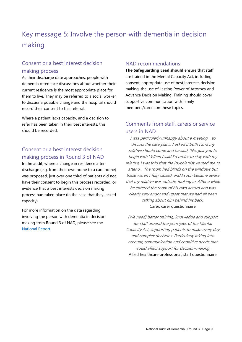# <span id="page-10-0"></span>Key message 5: Involve the person with dementia in decision making

#### Consent or a best interest decision making process

As their discharge date approaches, people with dementia often face discussions about whether their current residence is the most appropriate place for them to live. They may be referred to a social worker to discuss a possible change and the hospital should record their consent to this referral.

Where a patient lacks capacity, and a decision to refer has been taken in their best interests, this should be recorded.

#### Consent or a best interest decision making process in Round 3 of NAD

In the audit, where a change in residence after discharge (e.g. from their own home to a care home) was proposed, just over one third of patients did not have their consent to begin this process recorded, or evidence that a best interests decision making process had taken place (in the case that they lacked capacity).

For more information on the data regarding involving the person with dementia in decision making from Round 3 of NAD, please see the [National Report.](http://www.rcpsych.ac.uk/workinpsychiatry/qualityimprovement/nationalclinicalaudits/dementia/nationalauditofdementia/thirdroundofaudit/finalreportrecommendations.aspx)

#### NAD recommendations

**The Safeguarding Lead should** ensure that staff are trained in the Mental Capacity Act, including consent, appropriate use of best interests decision making, the use of Lasting Power of Attorney and Advance Decision Making. Training should cover supportive communication with family members/carers on these topics.

#### Comments from staff, carers or service users in NAD

I was particularly unhappy about a meeting… to discuss the care plan… I asked if both I and my relative should come and he said, 'No, just you to begin with.' When I said I'd prefer to stay with my relative, I was told that the Psychiatrist wanted me to attend… The room had blinds on the windows but these weren't fully closed, and I soon became aware that my relative was outside, looking in. After a while he entered the room of his own accord and was clearly very angry and upset that we had all been talking about him behind his back. Carer, carer questionnaire

[We need] better training, knowledge and support for staff around the principles of the Mental Capacity Act, supporting patients to make every day and complex decisions. Particularly taking into account, communication and cognitive needs that would affect support for decision-making. Allied healthcare professional, staff questionnaire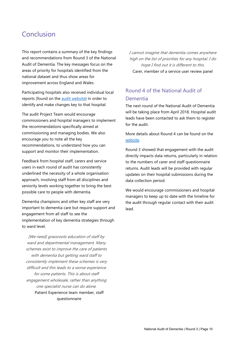# <span id="page-11-0"></span>Conclusion

This report contains a summary of the key findings and recommendations from Round 3 of the National Audit of Dementia. The key messages focus on the areas of priority for hospitals identified from the national dataset and thus show areas for improvement across England and Wales.

Participating hospitals also received individual local reports (found on the [audit website\)](http://www.rcpsych.ac.uk/workinpsychiatry/qualityimprovement/nationalclinicalaudits/dementia/nationalauditofdementia/thirdroundofaudit/finalreportrecommendations.aspx) in order to identify and make changes key to that hospital.

The audit Project Team would encourage commissioners and hospital managers to implement the recommendations specifically aimed at commissioning and managing bodies. We also encourage you to note all the key recommendations, to understand how you can support and monitor their implementation.

Feedback from hospital staff, carers and service users in each round of audit has consistently underlined the necessity of a whole organisation approach, involving staff from all disciplines and seniority levels working together to bring the best possible care to people with dementia.

Dementia champions and other key staff are very important to dementia care but require support and engagement from all staff to see the implementation of key dementia strategies through to ward level.

[We need] grassroots education of staff by ward and departmental management. Many schemes exist to improve the care of patients with dementia but getting ward staff to consistently implement these schemes is very difficult and this leads to a worse experience for some patients. This is about staff engagement wholesale, rather than anything one specialist nurse can do alone. Patient Experience team member, staff questionnaire

I cannot imagine that dementia comes anywhere high on the list of priorities for any hospital. I do hope I find out it is different to this. Carer, member of a service user review panel

#### Round 4 of the National Audit of Dementia

The next round of the National Audit of Dementia will be taking place from April 2018. Hospital audit leads have been contacted to ask them to register for the audit.

More details about Round 4 can be found on the [website.](http://www.rcpsych.ac.uk/workinpsychiatry/qualityimprovement/nationalclinicalaudits/dementia/nationalauditofdementia.aspx) 

Round 3 showed that engagement with the audit directly impacts data returns, particularly in relation to the numbers of carer and staff questionnaire returns. Audit leads will be provided with regular updates on their hospital submissions during the data collection period.

We would encourage commissioners and hospital managers to keep up to date with the timeline for the audit through regular contact with their audit lead.